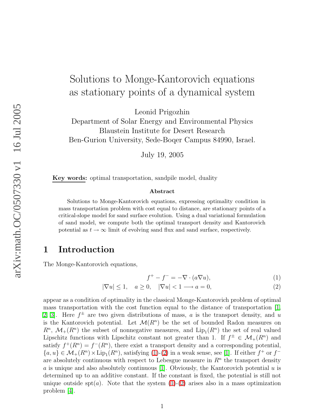# Solutions to Monge-Kantorovich equations as stationary points of a dynamical system

Leonid Prigozhin

Department of Solar Energy and Environmental Physics Blaustein Institute for Desert Research Ben-Gurion University, Sede-Boqer Campus 84990, Israel.

July 19, 2005

Key words: optimal transportation, sandpile model, duality

#### Abstract

Solutions to Monge-Kantorovich equations, expressing optimality condition in mass transportation problem with cost equal to distance, are stationary points of a critical-slope model for sand surface evolution. Using a dual variational formulation of sand model, we compute both the optimal transport density and Kantorovich potential as  $t \to \infty$  limit of evolving sand flux and sand surface, respectively.

## 1 Introduction

The Monge-Kantorovich equations,

$$
f^+ - f^- = -\nabla \cdot (a\nabla u),\tag{1}
$$

<span id="page-0-0"></span>
$$
|\nabla u| \le 1, \quad a \ge 0, \quad |\nabla u| < 1 \longrightarrow a = 0,\tag{2}
$$

appear as a condition of optimality in the classical Monge-Kantorovich problem of optimal mass transportation with the cost function equal to the distance of transportation [\[1,](#page-5-0) [2,](#page-5-1) 3. Here  $f^{\pm}$  are two given distributions of mass, a is the transport density, and u is the Kantorovich potential. Let  $\mathcal{M}(R^n)$  be the set of bounded Radon measures on  $R^n$ ,  $\mathcal{M}_+(R^n)$  the subset of nonnegative measures, and  $\text{Lip}_1(R^n)$  the set of real valued Lipschitz functions with Lipschitz constant not greater than 1. If  $f^{\pm} \in \mathcal{M}_+(R^n)$  and satisfy  $f^+(R^n) = f^-(R^n)$ , there exist a transport density and a corresponding potential,  ${a, u} \in \mathcal{M}_+(R^n) \times \text{Lip}_1(R^n)$ , satisfying [\(1\)](#page-0-0)-[\(2\)](#page-0-0) in a weak sense, see [\[1\]](#page-5-0). If either  $f^+$  or  $f^$ are absolutely continuous with respect to Lebesgue measure in  $R<sup>n</sup>$  the transport density a is unique and also absolutely continuous [\[1\]](#page-5-0). Obviously, the Kantorovich potential  $u$  is determined up to an additive constant. If the constant is fixed, the potential is still not unique outside spt $(a)$ . Note that the system  $(1)-(2)$  $(1)-(2)$  $(1)-(2)$  arises also in a mass optimization problem [\[4\]](#page-5-3).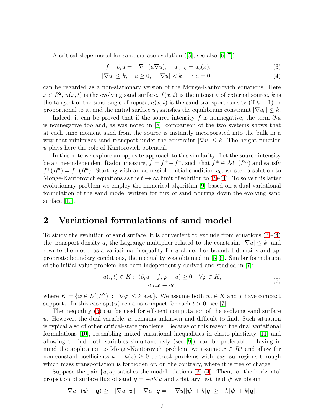<span id="page-1-0"></span>A critical-slope model for sand surface evolution ([\[5\]](#page-5-4), see also [\[6,](#page-6-0) [7\]](#page-6-1))

$$
f - \partial_t u = -\nabla \cdot (a\nabla u), \quad u|_{t=0} = u_0(x), \tag{3}
$$

$$
|\nabla u| \le k, \quad a \ge 0, \quad |\nabla u| < k \longrightarrow a = 0,\tag{4}
$$

can be regarded as a non-stationary version of the Monge-Kantorovich equations. Here  $x \in R^2$ ,  $u(x, t)$  is the evolving sand surface,  $f(x, t)$  is the intensity of external source, k is the tangent of the sand angle of repose,  $a(x, t)$  is the sand transport density (if  $k = 1$ ) or proportional to it, and the initial surface  $u_0$  satisfies the equilibrium constraint  $|\nabla u_0| \leq k$ .

Indeed, it can be proved that if the source intensity f is nonnegative, the term  $\partial_t u$ is nonnegative too and, as was noted in [\[8\]](#page-6-2), comparison of the two systems shows that at each time moment sand from the source is instantly incorporated into the bulk in a way that minimizes sand transport under the constraint  $|\nabla u| \leq k$ . The height function u plays here the role of Kantorovich potential.

In this note we explore an opposite approach to this similarity. Let the source intensity be a time-independent Radon measure,  $f = f^+ - f^-$ , such that  $f^{\pm} \in \mathcal{M}_+(R^n)$  and satisfy  $f^+(R^n) = f^-(R^n)$ . Starting with an admissible initial condition  $u_0$ , we seek a solution to Monge-Kantorovich equations as the  $t \to \infty$  limit of solution to [\(3\)](#page-1-0)-[\(4\)](#page-1-0). To solve this latter evolutionary problem we employ the numerical algorithm [\[9\]](#page-6-3) based on a dual variational formulation of the sand model written for flux of sand pouring down the evolving sand surface [\[10\]](#page-6-4).

#### 2 Variational formulations of sand model

To study the evolution of sand surface, it is convenient to exclude from equations [\(3\)](#page-1-0)-[\(4\)](#page-1-0) the transport density a, the Lagrange multiplier related to the constraint  $|\nabla u| \leq k$ , and rewrite the model as a variational inequality for u alone. For bounded domains and appropriate boundary conditions, the inequality was obtained in [\[5,](#page-5-4) [6\]](#page-6-0). Similar formulation of the initial value problem has been independently derived and studied in [\[7\]](#page-6-1):

$$
u(.,t) \in K: \ (\partial_t u - f, \varphi - u) \ge 0, \ \ \forall \varphi \in K,
$$
  
\n
$$
u|_{t=0} = u_0,
$$
\n(5)

<span id="page-1-1"></span>where  $K = \{ \varphi \in L^2(R^2) : |\nabla \varphi| \leq k \text{ a.e.} \}.$  We assume both  $u_0 \in K$  and f have compact supports. In this case  $spt(u)$  remains compact for each  $t > 0$ , see [\[7\]](#page-6-1).

The inequality [\(5\)](#page-1-1) can be used for efficient computation of the evolving sand surface u. However, the dual variable,  $a$ , remains unknown and difficult to find. Such situation is typical also of other critical-state problems. Because of this reason the dual variational formulations [\[10\]](#page-6-4), resembling mixed variational inequalities in elasto-plasticity [\[11\]](#page-6-5) and allowing to find both variables simultaneously (see [\[9\]](#page-6-3)), can be preferable. Having in mind the application to Monge-Kantorovich problem, we assume  $x \in R^n$  and allow for non-constant coefficients  $k = k(x) \geq 0$  to treat problems with, say, subregions through which mass transportation is forbidden or, on the contrary, where it is free of charge.

Suppose the pair  $\{u, a\}$  satisfies the model relations [\(3\)](#page-1-0)-[\(4\)](#page-1-0). Then, for the horizontal projection of surface flux of sand  $q = -a\nabla u$  and arbitrary test field  $\psi$  we obtain

$$
\nabla u \cdot (\boldsymbol{\psi} - \boldsymbol{q}) \ge -|\nabla u||\boldsymbol{\psi}| - \nabla u \cdot \boldsymbol{q} = -|\nabla u||\boldsymbol{\psi}| + k|\boldsymbol{q}| \ge -k|\boldsymbol{\psi}| + k|\boldsymbol{q}|.
$$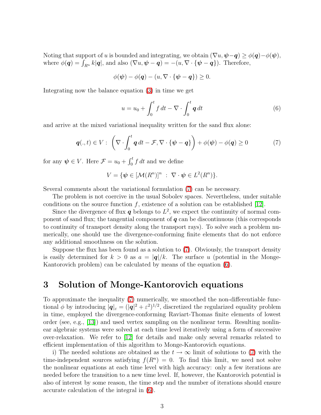Noting that support of u is bounded and integrating, we obtain  $(\nabla u, \psi - \mathbf{q}) \geq \phi(\mathbf{q}) - \phi(\psi)$ , where  $\phi(q) = \int_{R^n} k|q|$ , and also  $(\nabla u, \psi - q) = -(u, \nabla \cdot {\psi - q})$ . Therefore,

<span id="page-2-1"></span>
$$
\phi(\boldsymbol{\psi}) - \phi(\boldsymbol{q}) - (u, \nabla \cdot {\boldsymbol{\psi}} - \boldsymbol{q}) \geq 0.
$$

Integrating now the balance equation [\(3\)](#page-1-0) in time we get

$$
u = u_0 + \int_0^t f \, dt - \nabla \cdot \int_0^t \mathbf{q} \, dt \tag{6}
$$

<span id="page-2-0"></span>and arrive at the mixed variational inequality written for the sand flux alone:

$$
\boldsymbol{q}(.,t) \in V : \left(\nabla \cdot \int_0^t \boldsymbol{q} \, dt - \mathcal{F}, \nabla \cdot \{\boldsymbol{\psi} - \boldsymbol{q}\}\right) + \phi(\boldsymbol{\psi}) - \phi(\boldsymbol{q}) \ge 0 \tag{7}
$$

for any  $\psi \in V$ . Here  $\mathcal{F} = u_0 + \int_0^t f \, dt$  and we define

$$
V = \{ \psi \in [\mathcal{M}(R^n)]^n : \nabla \cdot \psi \in L^2(R^n) \}.
$$

Several comments about the variational formulation [\(7\)](#page-2-0) can be necessary.

The problem is not coercive in the usual Sobolev spaces. Nevertheless, under suitable conditions on the source function  $f$ , existence of a solution can be established [\[12\]](#page-6-6).

Since the divergence of flux  $q$  belongs to  $L^2$ , we expect the continuity of normal component of sand flux; the tangential component of  $q$  can be discontinuous (this corresponds to continuity of transport density along the transport rays). To solve such a problem numerically, one should use the divergence-conforming finite elements that do not enforce any additional smoothness on the solution.

Suppose the flux has been found as a solution to [\(7\)](#page-2-0). Obviously, the transport density is easily determined for  $k > 0$  as  $a = |q|/k$ . The surface u (potential in the Monge-Kantorovich problem) can be calculated by means of the equation [\(6\)](#page-2-1).

#### 3 Solution of Monge-Kantorovich equations

To approximate the inequality [\(7\)](#page-2-0) numerically, we smoothed the non-differentiable functional  $\phi$  by introducing  $|\mathbf{q}|_{\varepsilon} = (|\mathbf{q}|^2 + \varepsilon^2)^{1/2}$ , discretized the regularized equality problem in time, employed the divergence-conforming Raviart-Thomas finite elements of lowest order (see, e.g., [\[13\]](#page-6-7)) and used vertex sampling on the nonlinear term. Resulting nonlinear algebraic systems were solved at each time level iteratively using a form of successive over-relaxation. We refer to [\[12\]](#page-6-6) for details and make only several remarks related to efficient implementation of this algorithm to Monge-Kantorovich equations.

i) The needed solutions are obtained as the  $t \to \infty$  limit of solutions to [\(7\)](#page-2-0) with the time-independent sources satisfying  $f(R^n) = 0$ . To find this limit, we need not solve the nonlinear equations at each time level with high accuracy: only a few iterations are needed before the transition to a new time level. If, however, the Kantorovich potential is also of interest by some reason, the time step and the number of iterations should ensure accurate calculation of the integral in [\(6\)](#page-2-1).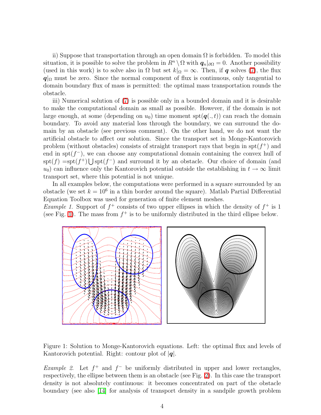ii) Suppose that transportation through an open domain  $\Omega$  is forbidden. To model this situation, it is possible to solve the problem in  $R^n \setminus \Omega$  with  $q_n|_{\partial \Omega} = 0$ . Another possibility (used in this work) is to solve also in  $\Omega$  but set  $k|_{\Omega} = \infty$ . Then, if **q** solves [\(7\)](#page-2-0), the flux  $q|_{\Omega}$  must be zero. Since the normal component of flux is continuous, only tangential to domain boundary flux of mass is permitted: the optimal mass transportation rounds the obstacle.

iii) Numerical solution of [\(7\)](#page-2-0) is possible only in a bounded domain and it is desirable to make the computational domain as small as possible. However, if the domain is not large enough, at some (depending on  $u_0$ ) time moment  $\text{spt}(\boldsymbol{q}(\cdot,t))$  can reach the domain boundary. To avoid any material loss through the boundary, we can surround the domain by an obstacle (see previous comment). On the other hand, we do not want the artificial obstacle to affect our solution. Since the transport set in Monge-Kantorovich problem (without obstacles) consists of straight transport rays that begin in  $spt(f^+)$  and end in spt $(f^-)$ , we can choose any computational domain containing the convex hull of  $spt(f) = spt(f^+) \bigcup spt(f^-)$  and surround it by an obstacle. Our choice of domain (and  $u_0$ ) can influence only the Kantorovich potential outside the establishing in  $t \to \infty$  limit transport set, where this potential is not unique.

In all examples below, the computations were performed in a square surrounded by an obstacle (we set  $k = 10^6$  in a thin border around the square). Matlab Partial Differential Equation Toolbox was used for generation of finite element meshes.

*Example 1.* Support of  $f^+$  consists of two upper ellipses in which the density of  $f^+$  is 1 (see Fig. [1\)](#page-3-0). The mass from  $f^+$  is to be uniformly distributed in the third ellipse below.



<span id="page-3-0"></span>Figure 1: Solution to Monge-Kantorovich equations. Left: the optimal flux and levels of Kantorovich potential. Right: contour plot of  $|q|$ .

Example 2. Let  $f^+$  and  $f^-$  be uniformly distributed in upper and lower rectangles, respectively, the ellipse between them is an obstacle (see Fig. [2\)](#page-4-0). In this case the transport density is not absolutely continuous: it becomes concentrated on part of the obstacle boundary (see also [\[14\]](#page-6-8) for analysis of transport density in a sandpile growth problem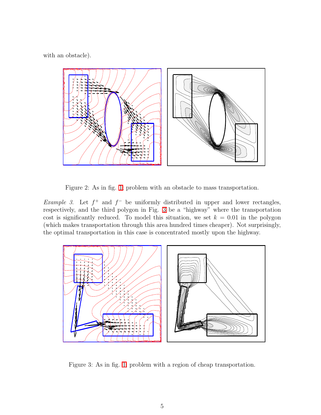with an obstacle).



<span id="page-4-0"></span>Figure 2: As in fig. [1;](#page-3-0) problem with an obstacle to mass transportation.

Example 3. Let  $f^+$  and  $f^-$  be uniformly distributed in upper and lower rectangles, respectively, and the third polygon in Fig. [3](#page-4-1) be a "highway" where the transportation cost is significantly reduced. To model this situation, we set  $k = 0.01$  in the polygon (which makes transportation through this area hundred times cheaper). Not surprisingly, the optimal transportation in this case is concentrated mostly upon the highway.



<span id="page-4-1"></span>Figure 3: As in fig. [1;](#page-3-0) problem with a region of cheap transportation.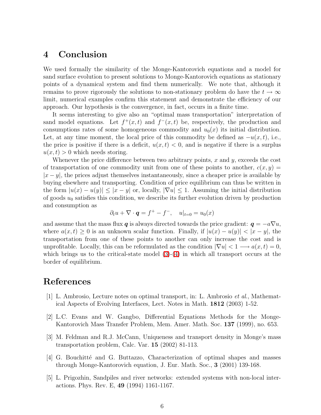#### 4 Conclusion

We used formally the similarity of the Monge-Kantorovich equations and a model for sand surface evolution to present solutions to Monge-Kantorovich equations as stationary points of a dynamical system and find them numerically. We note that, although it remains to prove rigorously the solutions to non-stationary problem do have the  $t \to \infty$ limit, numerical examples confirm this statement and demonstrate the efficiency of our approach. Our hypothesis is the convergence, in fact, occurs in a finite time.

It seems interesting to give also an "optimal mass transportation" interpretation of sand model equations. Let  $f^+(x,t)$  and  $f^-(x,t)$  be, respectively, the production and consumptions rates of some homogeneous commodity and  $u_0(x)$  its initial distribution. Let, at any time moment, the local price of this commodity be defined as  $-u(x, t)$ , i.e., the price is positive if there is a deficit,  $u(x, t) < 0$ , and is negative if there is a surplus  $u(x, t) > 0$  which needs storing.

Whenever the price difference between two arbitrary points, x and y, exceeds the cost of transportation of one commodity unit from one of these points to another,  $c(x, y) =$  $|x-y|$ , the prices adjust themselves instantaneously, since a cheaper price is available by buying elsewhere and transporting. Condition of price equilibrium can thus be written in the form  $|u(x) - u(y)| \le |x - y|$  or, locally,  $|\nabla u| \le 1$ . Assuming the initial distribution of goods  $u_0$  satisfies this condition, we describe its further evolution driven by production and consumption as

$$
\partial_t u + \nabla \cdot \mathbf{q} = f^+ - f^-, \quad u|_{t=0} = u_0(x)
$$

and assume that the mass flux q is always directed towards the price gradient:  $q = -a\nabla u$ , where  $a(x, t) \geq 0$  is an unknown scalar function. Finally, if  $|u(x) - u(y)| < |x - y|$ , the transportation from one of these points to another can only increase the cost and is unprofitable. Locally, this can be reformulated as the condition  $|\nabla u| < 1 \longrightarrow a(x,t) = 0$ , which brings us to the critical-state model  $(3)-(4)$  $(3)-(4)$  in which all transport occurs at the border of equilibrium.

### <span id="page-5-0"></span>References

- [1] L. Ambrosio, Lecture notes on optimal transport, in: L. Ambrosio et al., Mathematical Aspects of Evolving Interfaces, Lect. Notes in Math. 1812 (2003) 1-52.
- <span id="page-5-1"></span>[2] L.C. Evans and W. Gangbo, Differential Equations Methods for the Monge-Kantorovich Mass Transfer Problem, Mem. Amer. Math. Soc. 137 (1999), no. 653.
- <span id="page-5-2"></span>[3] M. Feldman and R.J. McCann, Uniqueness and transport density in Monge's mass transportation problem, Calc. Var. 15 (2002) 81-113.
- <span id="page-5-3"></span>[4] G. Bouchitt´e and G. Buttazzo, Characterization of optimal shapes and masses through Monge-Kantorovich equation, J. Eur. Math. Soc., 3 (2001) 139-168.
- <span id="page-5-4"></span>[5] L. Prigozhin, Sandpiles and river networks: extended systems with non-local interactions. Phys. Rev. E, 49 (1994) 1161-1167.